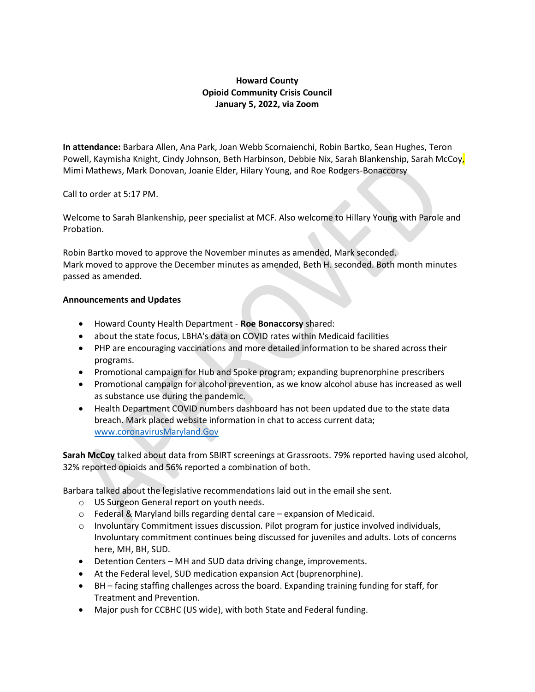## Howard County Opioid Community Crisis Council January 5, 2022, via Zoom

In attendance: Barbara Allen, Ana Park, Joan Webb Scornaienchi, Robin Bartko, Sean Hughes, Teron Powell, Kaymisha Knight, Cindy Johnson, Beth Harbinson, Debbie Nix, Sarah Blankenship, Sarah McCoy, Mimi Mathews, Mark Donovan, Joanie Elder, Hilary Young, and Roe Rodgers-Bonaccorsy

Call to order at 5:17 PM.

Welcome to Sarah Blankenship, peer specialist at MCF. Also welcome to Hillary Young with Parole and Probation.

Robin Bartko moved to approve the November minutes as amended, Mark seconded. Mark moved to approve the December minutes as amended, Beth H. seconded. Both month minutes passed as amended.

## Announcements and Updates

- Howard County Health Department Roe Bonaccorsy shared:
- about the state focus, LBHA's data on COVID rates within Medicaid facilities
- PHP are encouraging vaccinations and more detailed information to be shared across their programs.
- Promotional campaign for Hub and Spoke program; expanding buprenorphine prescribers
- Promotional campaign for alcohol prevention, as we know alcohol abuse has increased as well as substance use during the pandemic.
- Health Department COVID numbers dashboard has not been updated due to the state data breach. Mark placed website information in chat to access current data; www.coronavirusMaryland.Gov

Sarah McCoy talked about data from SBIRT screenings at Grassroots. 79% reported having used alcohol, 32% reported opioids and 56% reported a combination of both.

Barbara talked about the legislative recommendations laid out in the email she sent.

- o US Surgeon General report on youth needs.
- o Federal & Maryland bills regarding dental care expansion of Medicaid.
- $\circ$  Involuntary Commitment issues discussion. Pilot program for justice involved individuals, Involuntary commitment continues being discussed for juveniles and adults. Lots of concerns here, MH, BH, SUD.
- Detention Centers MH and SUD data driving change, improvements.
- At the Federal level, SUD medication expansion Act (buprenorphine).
- BH facing staffing challenges across the board. Expanding training funding for staff, for Treatment and Prevention.
- Major push for CCBHC (US wide), with both State and Federal funding.